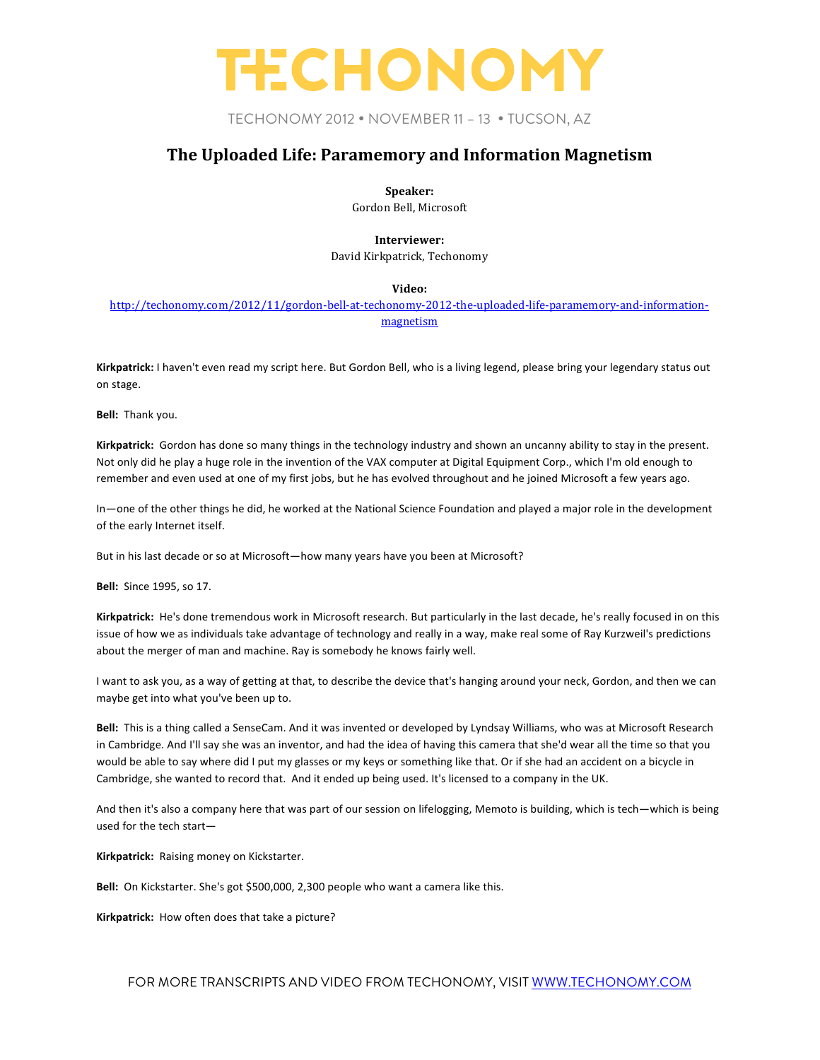### TECHONOMY 2012 • NOVEMBER 11 – 13 • TUCSON, AZ

### **The Uploaded Life: Paramemory and Information Magnetism**

**Speaker:**

Gordon Bell, Microsoft

**Interviewer:**

David Kirkpatrick, Techonomy

#### **Video:**

http://techonomy.com/2012/11/gordon-bell-at-techonomy-2012-the-uploaded-life-paramemory-and-informationmagnetism

Kirkpatrick: I haven't even read my script here. But Gordon Bell, who is a living legend, please bring your legendary status out on stage.

**Bell:** Thank you.

**Kirkpatrick:** Gordon has done so many things in the technology industry and shown an uncanny ability to stay in the present. Not only did he play a huge role in the invention of the VAX computer at Digital Equipment Corp., which I'm old enough to remember and even used at one of my first jobs, but he has evolved throughout and he joined Microsoft a few years ago.

In—one of the other things he did, he worked at the National Science Foundation and played a major role in the development of the early Internet itself.

But in his last decade or so at Microsoft—how many years have you been at Microsoft?

**Bell:** Since 1995, so 17.

Kirkpatrick: He's done tremendous work in Microsoft research. But particularly in the last decade, he's really focused in on this issue of how we as individuals take advantage of technology and really in a way, make real some of Ray Kurzweil's predictions about the merger of man and machine. Ray is somebody he knows fairly well.

I want to ask you, as a way of getting at that, to describe the device that's hanging around your neck, Gordon, and then we can maybe get into what you've been up to.

Bell: This is a thing called a SenseCam. And it was invented or developed by Lyndsay Williams, who was at Microsoft Research in Cambridge. And I'll say she was an inventor, and had the idea of having this camera that she'd wear all the time so that you would be able to say where did I put my glasses or my keys or something like that. Or if she had an accident on a bicycle in Cambridge, she wanted to record that. And it ended up being used. It's licensed to a company in the UK.

And then it's also a company here that was part of our session on lifelogging, Memoto is building, which is tech—which is being used for the tech start-

Kirkpatrick: Raising money on Kickstarter.

**Bell:** On Kickstarter. She's got \$500,000, 2,300 people who want a camera like this.

Kirkpatrick: How often does that take a picture?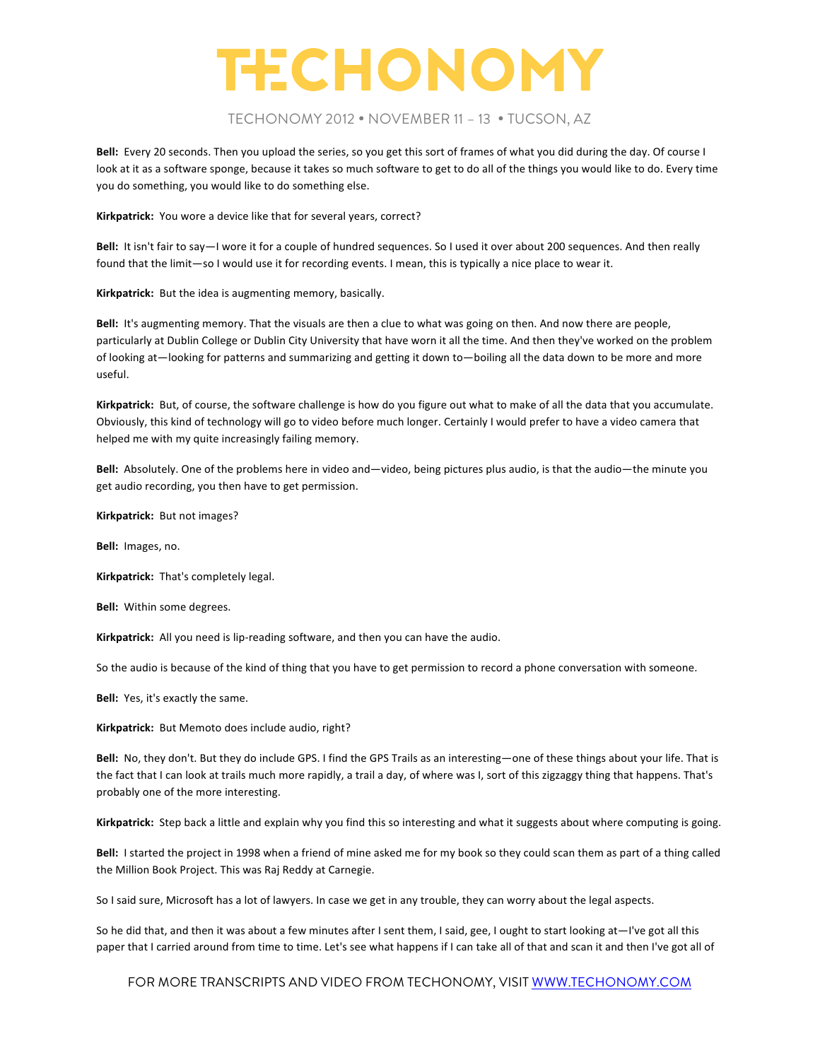#### TECHONOMY 2012 • NOVEMBER 11 – 13 • TUCSON, AZ

Bell: Every 20 seconds. Then you upload the series, so you get this sort of frames of what you did during the day. Of course I look at it as a software sponge, because it takes so much software to get to do all of the things you would like to do. Every time you do something, you would like to do something else.

Kirkpatrick: You wore a device like that for several years, correct?

**Bell:** It isn't fair to say—I wore it for a couple of hundred sequences. So I used it over about 200 sequences. And then really found that the limit—so I would use it for recording events. I mean, this is typically a nice place to wear it.

Kirkpatrick: But the idea is augmenting memory, basically.

Bell: It's augmenting memory. That the visuals are then a clue to what was going on then. And now there are people, particularly at Dublin College or Dublin City University that have worn it all the time. And then they've worked on the problem of looking at—looking for patterns and summarizing and getting it down to—boiling all the data down to be more and more useful.

Kirkpatrick: But, of course, the software challenge is how do you figure out what to make of all the data that you accumulate. Obviously, this kind of technology will go to video before much longer. Certainly I would prefer to have a video camera that helped me with my quite increasingly failing memory.

Bell: Absolutely. One of the problems here in video and—video, being pictures plus audio, is that the audio—the minute you get audio recording, you then have to get permission.

Kirkpatrick: But not images?

**Bell:** Images, no.

**Kirkpatrick:** That's completely legal.

**Bell:** Within some degrees.

Kirkpatrick: All you need is lip-reading software, and then you can have the audio.

So the audio is because of the kind of thing that you have to get permission to record a phone conversation with someone.

**Bell:** Yes, it's exactly the same.

Kirkpatrick: But Memoto does include audio, right?

Bell: No, they don't. But they do include GPS. I find the GPS Trails as an interesting—one of these things about your life. That is the fact that I can look at trails much more rapidly, a trail a day, of where was I, sort of this zigzaggy thing that happens. That's probably one of the more interesting.

Kirkpatrick: Step back a little and explain why you find this so interesting and what it suggests about where computing is going.

Bell: I started the project in 1998 when a friend of mine asked me for my book so they could scan them as part of a thing called the Million Book Project. This was Raj Reddy at Carnegie.

So I said sure, Microsoft has a lot of lawyers. In case we get in any trouble, they can worry about the legal aspects.

So he did that, and then it was about a few minutes after I sent them, I said, gee, I ought to start looking at—I've got all this paper that I carried around from time to time. Let's see what happens if I can take all of that and scan it and then I've got all of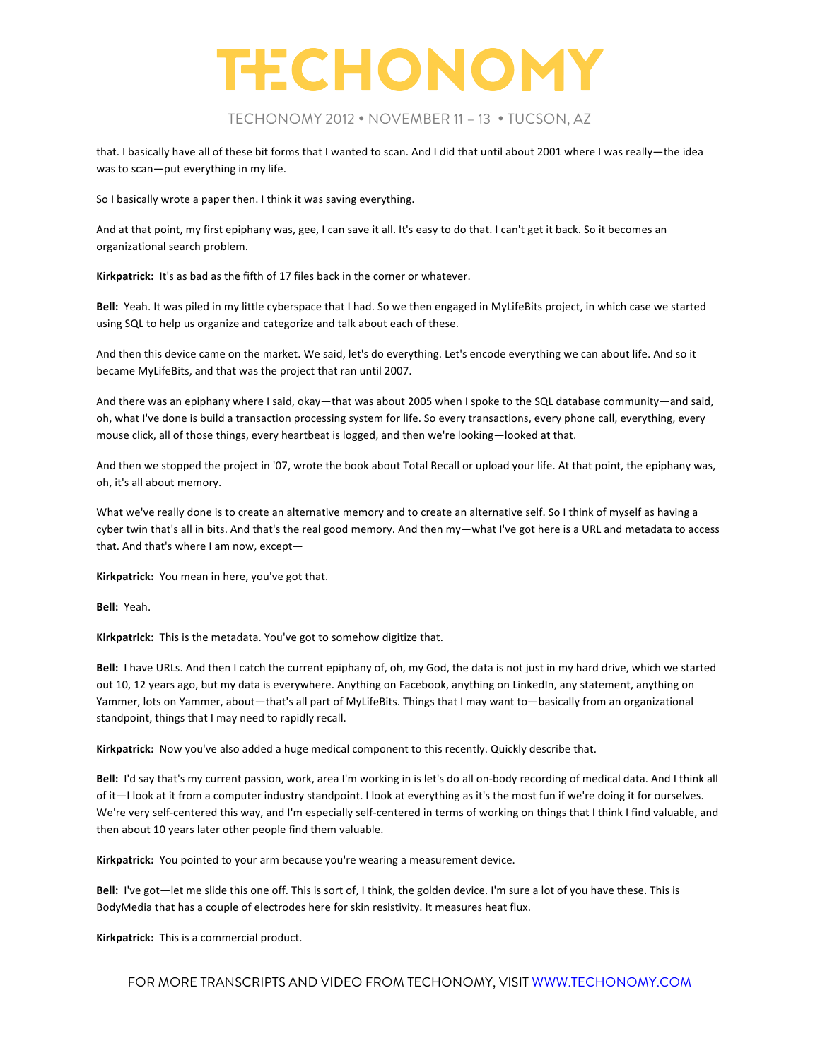

### TECHONOMY 2012 • NOVEMBER 11 – 13 • TUCSON, AZ

that. I basically have all of these bit forms that I wanted to scan. And I did that until about 2001 where I was really—the idea was to scan-put everything in my life.

So I basically wrote a paper then. I think it was saving everything.

And at that point, my first epiphany was, gee, I can save it all. It's easy to do that. I can't get it back. So it becomes an organizational search problem.

**Kirkpatrick:** It's as bad as the fifth of 17 files back in the corner or whatever.

Bell: Yeah. It was piled in my little cyberspace that I had. So we then engaged in MyLifeBits project, in which case we started using SQL to help us organize and categorize and talk about each of these.

And then this device came on the market. We said, let's do everything. Let's encode everything we can about life. And so it became MyLifeBits, and that was the project that ran until 2007.

And there was an epiphany where I said, okay—that was about 2005 when I spoke to the SQL database community—and said, oh, what I've done is build a transaction processing system for life. So every transactions, every phone call, everything, every mouse click, all of those things, every heartbeat is logged, and then we're looking-looked at that.

And then we stopped the project in '07, wrote the book about Total Recall or upload your life. At that point, the epiphany was, oh, it's all about memory.

What we've really done is to create an alternative memory and to create an alternative self. So I think of myself as having a cyber twin that's all in bits. And that's the real good memory. And then my—what I've got here is a URL and metadata to access that. And that's where I am now, except-

Kirkpatrick: You mean in here, you've got that.

**Bell:** Yeah.

Kirkpatrick: This is the metadata. You've got to somehow digitize that.

**Bell:** I have URLs. And then I catch the current epiphany of, oh, my God, the data is not just in my hard drive, which we started out 10, 12 years ago, but my data is everywhere. Anything on Facebook, anything on LinkedIn, any statement, anything on Yammer, lots on Yammer, about—that's all part of MyLifeBits. Things that I may want to—basically from an organizational standpoint, things that I may need to rapidly recall.

Kirkpatrick: Now you've also added a huge medical component to this recently. Quickly describe that.

Bell: I'd say that's my current passion, work, area I'm working in is let's do all on-body recording of medical data. And I think all of it—I look at it from a computer industry standpoint. I look at everything as it's the most fun if we're doing it for ourselves. We're very self-centered this way, and I'm especially self-centered in terms of working on things that I think I find valuable, and then about 10 years later other people find them valuable.

Kirkpatrick: You pointed to your arm because you're wearing a measurement device.

Bell: I've got—let me slide this one off. This is sort of, I think, the golden device. I'm sure a lot of you have these. This is BodyMedia that has a couple of electrodes here for skin resistivity. It measures heat flux.

**Kirkpatrick:** This is a commercial product.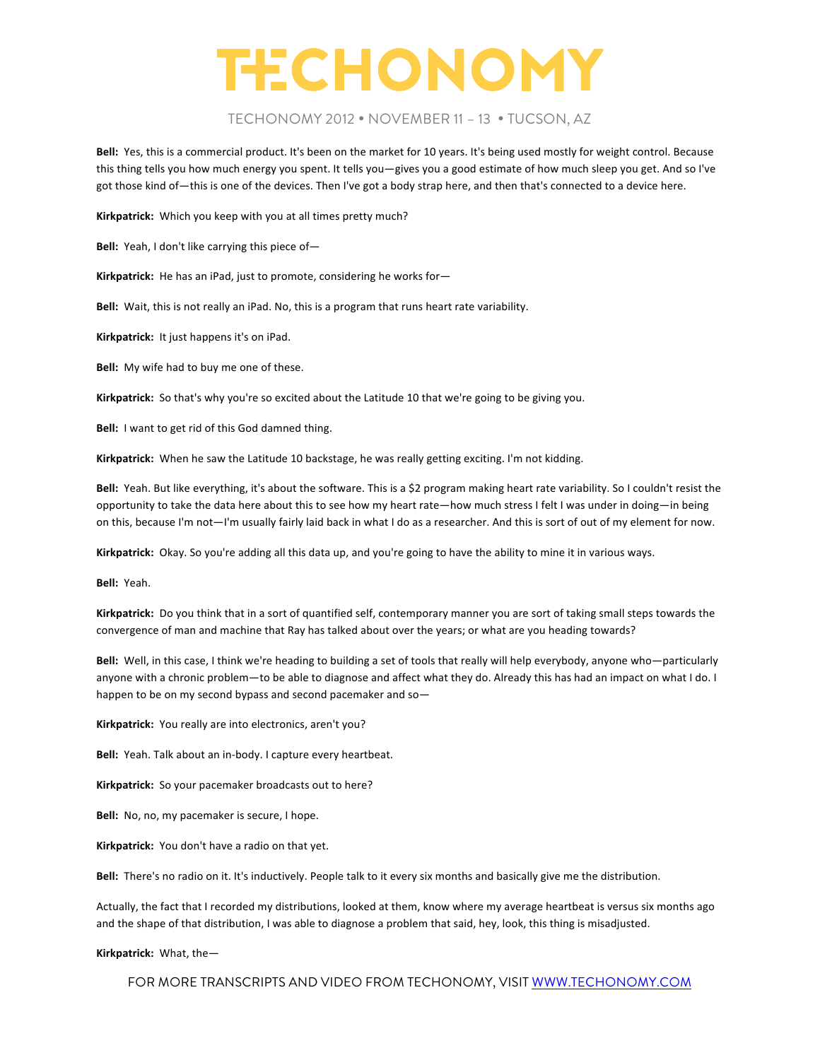#### TECHONOMY 2012 • NOVEMBER 11 – 13 • TUCSON, AZ

**Bell:** Yes, this is a commercial product. It's been on the market for 10 years. It's being used mostly for weight control. Because this thing tells you how much energy you spent. It tells you—gives you a good estimate of how much sleep you get. And so I've got those kind of—this is one of the devices. Then I've got a body strap here, and then that's connected to a device here.

**Kirkpatrick:** Which you keep with you at all times pretty much?

**Bell:** Yeah, I don't like carrying this piece of-

Kirkpatrick: He has an iPad, just to promote, considering he works for-

**Bell:** Wait, this is not really an iPad. No, this is a program that runs heart rate variability.

Kirkpatrick: It just happens it's on iPad.

**Bell:** My wife had to buy me one of these.

Kirkpatrick: So that's why you're so excited about the Latitude 10 that we're going to be giving you.

Bell: I want to get rid of this God damned thing.

Kirkpatrick: When he saw the Latitude 10 backstage, he was really getting exciting. I'm not kidding.

Bell: Yeah. But like everything, it's about the software. This is a \$2 program making heart rate variability. So I couldn't resist the opportunity to take the data here about this to see how my heart rate—how much stress I felt I was under in doing—in being on this, because I'm not—I'm usually fairly laid back in what I do as a researcher. And this is sort of out of my element for now.

Kirkpatrick: Okay. So you're adding all this data up, and you're going to have the ability to mine it in various ways.

Bell: Yeah.

Kirkpatrick: Do you think that in a sort of quantified self, contemporary manner you are sort of taking small steps towards the convergence of man and machine that Ray has talked about over the years; or what are you heading towards?

Bell: Well, in this case, I think we're heading to building a set of tools that really will help everybody, anyone who—particularly anyone with a chronic problem—to be able to diagnose and affect what they do. Already this has had an impact on what I do. I happen to be on my second bypass and second pacemaker and so-

Kirkpatrick: You really are into electronics, aren't you?

Bell: Yeah. Talk about an in-body. I capture every heartbeat.

Kirkpatrick: So your pacemaker broadcasts out to here?

**Bell:** No, no, my pacemaker is secure, I hope.

Kirkpatrick: You don't have a radio on that yet.

Bell: There's no radio on it. It's inductively. People talk to it every six months and basically give me the distribution.

Actually, the fact that I recorded my distributions, looked at them, know where my average heartbeat is versus six months ago and the shape of that distribution, I was able to diagnose a problem that said, hey, look, this thing is misadjusted.

**Kirkpatrick:** What, the-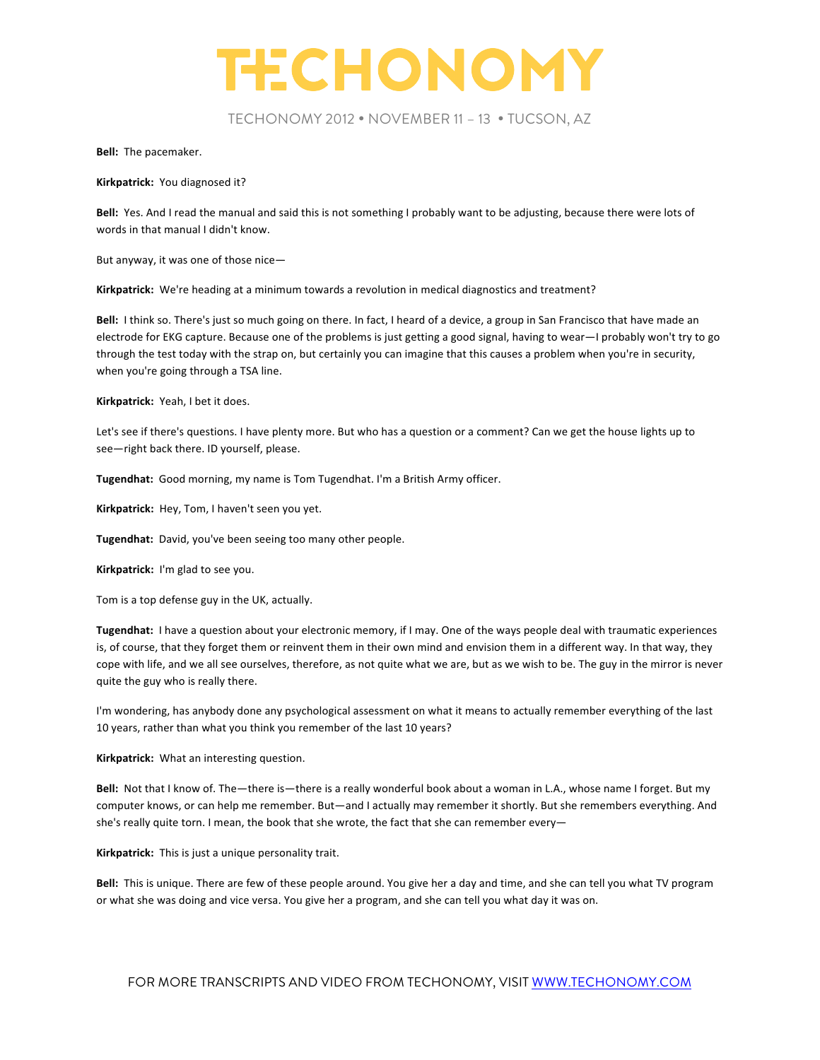

TECHONOMY 2012 • NOVEMBER 11 – 13 • TUCSON, AZ

**Bell:** The pacemaker.

**Kirkpatrick:** You diagnosed it?

Bell: Yes. And I read the manual and said this is not something I probably want to be adjusting, because there were lots of words in that manual I didn't know.

But anyway, it was one of those nice-

Kirkpatrick: We're heading at a minimum towards a revolution in medical diagnostics and treatment?

**Bell:** I think so. There's just so much going on there. In fact, I heard of a device, a group in San Francisco that have made an electrode for EKG capture. Because one of the problems is just getting a good signal, having to wear—I probably won't try to go through the test today with the strap on, but certainly you can imagine that this causes a problem when you're in security, when you're going through a TSA line.

**Kirkpatrick:** Yeah, I bet it does.

Let's see if there's questions. I have plenty more. But who has a question or a comment? Can we get the house lights up to see-right back there. ID yourself, please.

Tugendhat: Good morning, my name is Tom Tugendhat. I'm a British Army officer.

Kirkpatrick: Hey, Tom, I haven't seen you yet.

**Tugendhat:** David, you've been seeing too many other people.

Kirkpatrick: I'm glad to see you.

Tom is a top defense guy in the UK, actually.

Tugendhat: I have a question about your electronic memory, if I may. One of the ways people deal with traumatic experiences is, of course, that they forget them or reinvent them in their own mind and envision them in a different way. In that way, they cope with life, and we all see ourselves, therefore, as not quite what we are, but as we wish to be. The guy in the mirror is never quite the guy who is really there.

I'm wondering, has anybody done any psychological assessment on what it means to actually remember everything of the last 10 years, rather than what you think you remember of the last 10 years?

**Kirkpatrick:** What an interesting question.

Bell: Not that I know of. The—there is—there is a really wonderful book about a woman in L.A., whose name I forget. But my computer knows, or can help me remember. But—and I actually may remember it shortly. But she remembers everything. And she's really quite torn. I mean, the book that she wrote, the fact that she can remember every-

Kirkpatrick: This is just a unique personality trait.

Bell: This is unique. There are few of these people around. You give her a day and time, and she can tell you what TV program or what she was doing and vice versa. You give her a program, and she can tell you what day it was on.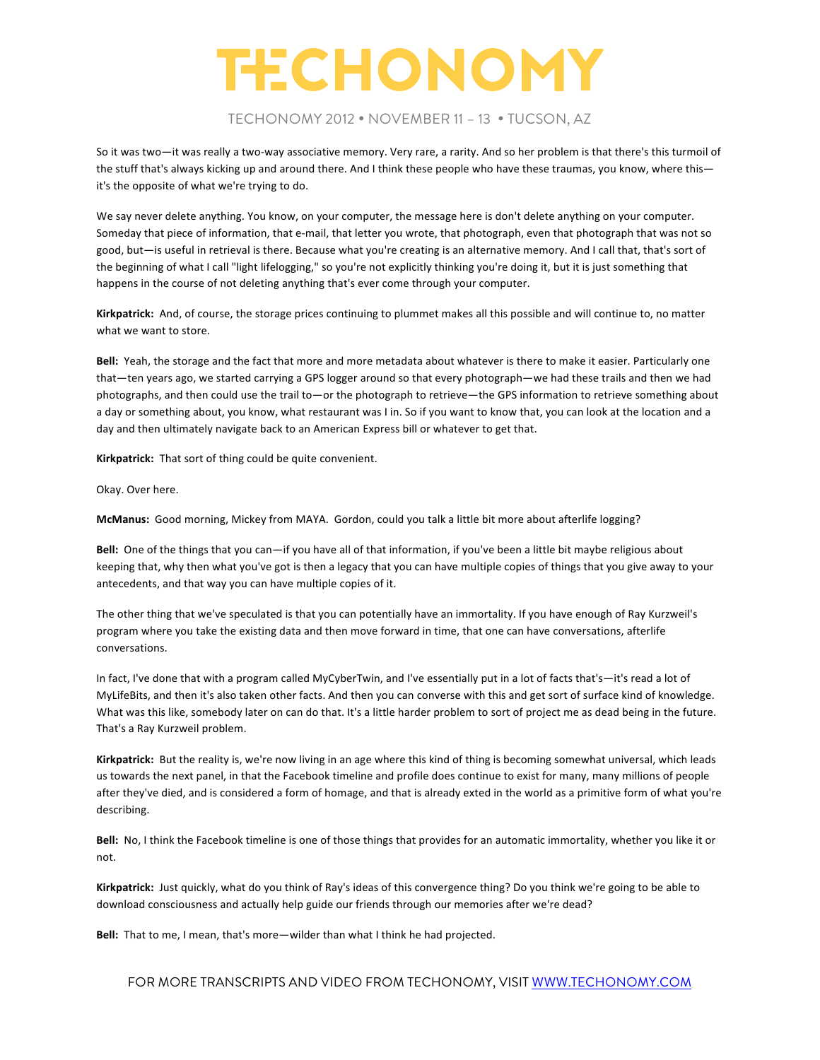#### TECHONOMY 2012 • NOVEMBER 11 – 13 • TUCSON, AZ

So it was two—it was really a two-way associative memory. Very rare, a rarity. And so her problem is that there's this turmoil of the stuff that's always kicking up and around there. And I think these people who have these traumas, you know, where thisit's the opposite of what we're trying to do.

We say never delete anything. You know, on your computer, the message here is don't delete anything on your computer. Someday that piece of information, that e-mail, that letter you wrote, that photograph, even that photograph that was not so good, but-is useful in retrieval is there. Because what you're creating is an alternative memory. And I call that, that's sort of the beginning of what I call "light lifelogging," so you're not explicitly thinking you're doing it, but it is just something that happens in the course of not deleting anything that's ever come through your computer.

Kirkpatrick: And, of course, the storage prices continuing to plummet makes all this possible and will continue to, no matter what we want to store.

Bell: Yeah, the storage and the fact that more and more metadata about whatever is there to make it easier. Particularly one that—ten years ago, we started carrying a GPS logger around so that every photograph—we had these trails and then we had photographs, and then could use the trail to—or the photograph to retrieve—the GPS information to retrieve something about a day or something about, you know, what restaurant was I in. So if you want to know that, you can look at the location and a day and then ultimately navigate back to an American Express bill or whatever to get that.

Kirkpatrick: That sort of thing could be quite convenient.

Okay. Over here.

McManus: Good morning, Mickey from MAYA. Gordon, could you talk a little bit more about afterlife logging?

Bell: One of the things that you can—if you have all of that information, if you've been a little bit maybe religious about keeping that, why then what you've got is then a legacy that you can have multiple copies of things that you give away to your antecedents, and that way you can have multiple copies of it.

The other thing that we've speculated is that you can potentially have an immortality. If you have enough of Ray Kurzweil's program where you take the existing data and then move forward in time, that one can have conversations, afterlife conversations. 

In fact, I've done that with a program called MyCyberTwin, and I've essentially put in a lot of facts that's—it's read a lot of MyLifeBits, and then it's also taken other facts. And then you can converse with this and get sort of surface kind of knowledge. What was this like, somebody later on can do that. It's a little harder problem to sort of project me as dead being in the future. That's a Ray Kurzweil problem.

Kirkpatrick: But the reality is, we're now living in an age where this kind of thing is becoming somewhat universal, which leads us towards the next panel, in that the Facebook timeline and profile does continue to exist for many, many millions of people after they've died, and is considered a form of homage, and that is already exted in the world as a primitive form of what you're describing.

Bell: No, I think the Facebook timeline is one of those things that provides for an automatic immortality, whether you like it or not.

Kirkpatrick: Just quickly, what do you think of Ray's ideas of this convergence thing? Do you think we're going to be able to download consciousness and actually help guide our friends through our memories after we're dead?

**Bell:** That to me, I mean, that's more—wilder than what I think he had projected.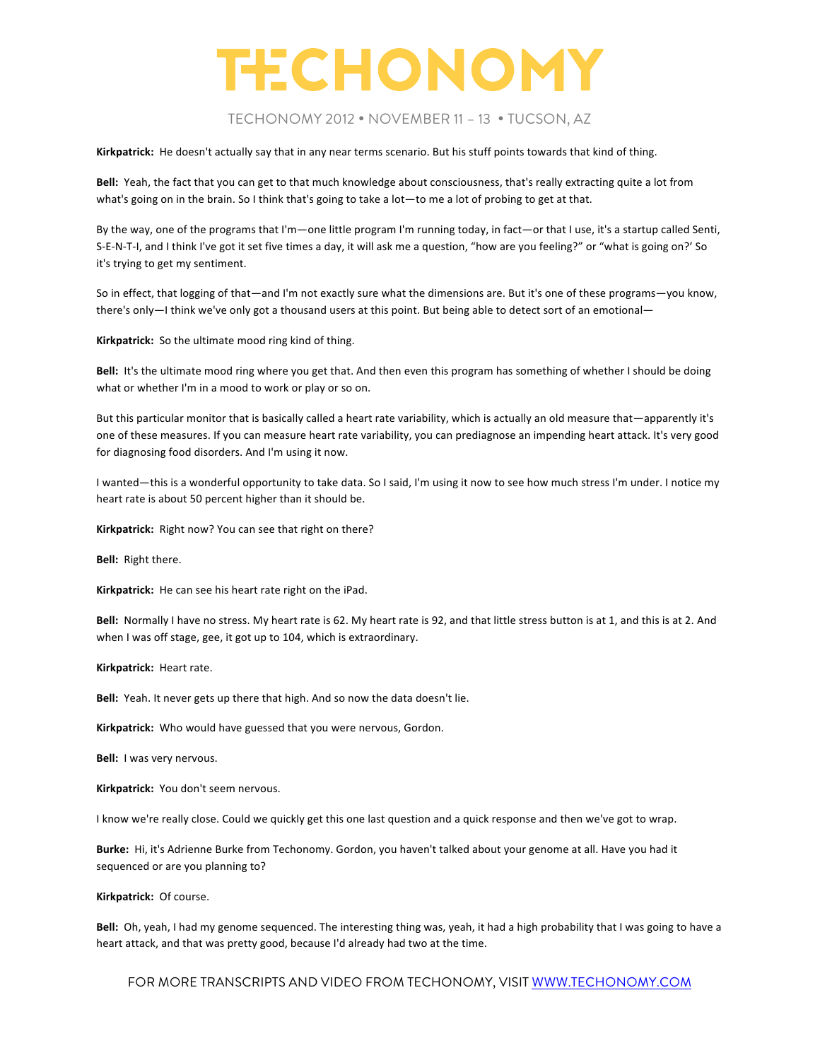#### TECHONOMY 2012 • NOVEMBER 11 – 13 • TUCSON, AZ

Kirkpatrick: He doesn't actually say that in any near terms scenario. But his stuff points towards that kind of thing.

Bell: Yeah, the fact that you can get to that much knowledge about consciousness, that's really extracting quite a lot from what's going on in the brain. So I think that's going to take a lot—to me a lot of probing to get at that.

By the way, one of the programs that I'm—one little program I'm running today, in fact—or that I use, it's a startup called Senti, S-E-N-T-I, and I think I've got it set five times a day, it will ask me a question, "how are you feeling?" or "what is going on?' So it's trying to get my sentiment.

So in effect, that logging of that—and I'm not exactly sure what the dimensions are. But it's one of these programs—you know, there's only-I think we've only got a thousand users at this point. But being able to detect sort of an emotional-

**Kirkpatrick:** So the ultimate mood ring kind of thing.

**Bell:** It's the ultimate mood ring where you get that. And then even this program has something of whether I should be doing what or whether I'm in a mood to work or play or so on.

But this particular monitor that is basically called a heart rate variability, which is actually an old measure that—apparently it's one of these measures. If you can measure heart rate variability, you can prediagnose an impending heart attack. It's very good for diagnosing food disorders. And I'm using it now.

I wanted—this is a wonderful opportunity to take data. So I said, I'm using it now to see how much stress I'm under. I notice my heart rate is about 50 percent higher than it should be.

Kirkpatrick: Right now? You can see that right on there?

**Bell:** Right there.

Kirkpatrick: He can see his heart rate right on the iPad.

Bell: Normally I have no stress. My heart rate is 62. My heart rate is 92, and that little stress button is at 1, and this is at 2. And when I was off stage, gee, it got up to 104, which is extraordinary.

**Kirkpatrick: Heart rate.** 

Bell: Yeah. It never gets up there that high. And so now the data doesn't lie.

Kirkpatrick: Who would have guessed that you were nervous, Gordon.

**Bell:** I was very nervous.

Kirkpatrick: You don't seem nervous.

I know we're really close. Could we quickly get this one last question and a quick response and then we've got to wrap.

Burke: Hi, it's Adrienne Burke from Techonomy. Gordon, you haven't talked about your genome at all. Have you had it sequenced or are you planning to?

#### **Kirkpatrick: Of course.**

Bell: Oh, yeah, I had my genome sequenced. The interesting thing was, yeah, it had a high probability that I was going to have a heart attack, and that was pretty good, because I'd already had two at the time.